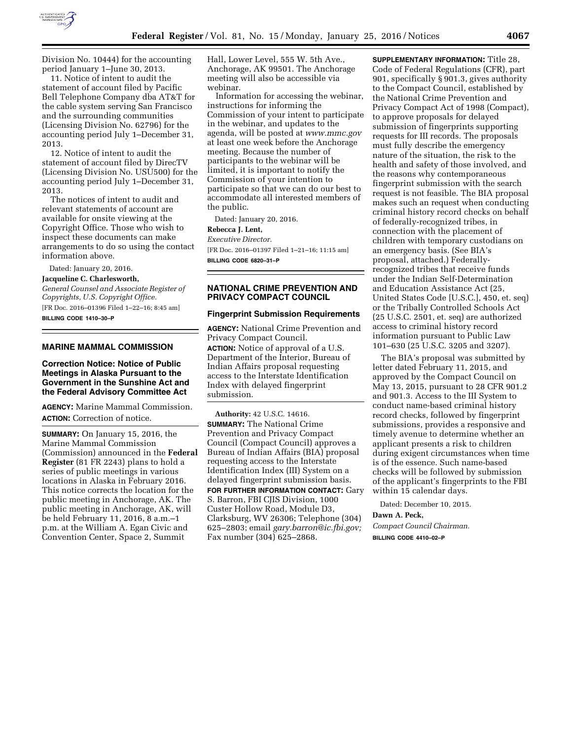

Division No. 10444) for the accounting period January 1–June 30, 2013.

11. Notice of intent to audit the statement of account filed by Pacific Bell Telephone Company dba AT&T for the cable system serving San Francisco and the surrounding communities (Licensing Division No. 62796) for the accounting period July 1–December 31, 2013.

12. Notice of intent to audit the statement of account filed by DirecTV (Licensing Division No. USU500) for the accounting period July 1–December 31, 2013.

The notices of intent to audit and relevant statements of account are available for onsite viewing at the Copyright Office. Those who wish to inspect these documents can make arrangements to do so using the contact information above.

Dated: January 20, 2016. **Jacqueline C. Charlesworth,** 

*General Counsel and Associate Register of Copyrights, U.S. Copyright Office.*  [FR Doc. 2016–01396 Filed 1–22–16; 8:45 am] **BILLING CODE 1410–30–P** 

## **MARINE MAMMAL COMMISSION**

**Correction Notice: Notice of Public Meetings in Alaska Pursuant to the Government in the Sunshine Act and the Federal Advisory Committee Act** 

**AGENCY:** Marine Mammal Commission. **ACTION:** Correction of notice.

**SUMMARY:** On January 15, 2016, the Marine Mammal Commission (Commission) announced in the **Federal Register** (81 FR 2243) plans to hold a series of public meetings in various locations in Alaska in February 2016. This notice corrects the location for the public meeting in Anchorage, AK. The public meeting in Anchorage, AK, will be held February 11, 2016, 8 a.m.–1 p.m. at the William A. Egan Civic and Convention Center, Space 2, Summit

Hall, Lower Level, 555 W. 5th Ave., Anchorage, AK 99501. The Anchorage meeting will also be accessible via webinar.

Information for accessing the webinar, instructions for informing the Commission of your intent to participate in the webinar, and updates to the agenda, will be posted at *[www.mmc.gov](http://www.mmc.gov)*  at least one week before the Anchorage meeting. Because the number of participants to the webinar will be limited, it is important to notify the Commission of your intention to participate so that we can do our best to accommodate all interested members of the public.

Dated: January 20, 2016. **Rebecca J. Lent,**  *Executive Director.*  [FR Doc. 2016–01397 Filed 1–21–16; 11:15 am]

**BILLING CODE 6820–31–P** 

## **NATIONAL CRIME PREVENTION AND PRIVACY COMPACT COUNCIL**

#### **Fingerprint Submission Requirements**

**AGENCY:** National Crime Prevention and Privacy Compact Council. **ACTION:** Notice of approval of a U.S. Department of the Interior, Bureau of Indian Affairs proposal requesting access to the Interstate Identification Index with delayed fingerprint submission.

**Authority:** 42 U.S.C. 14616. **SUMMARY:** The National Crime Prevention and Privacy Compact Council (Compact Council) approves a Bureau of Indian Affairs (BIA) proposal requesting access to the Interstate Identification Index (III) System on a delayed fingerprint submission basis.

**FOR FURTHER INFORMATION CONTACT:** Gary S. Barron, FBI CJIS Division, 1000 Custer Hollow Road, Module D3, Clarksburg, WV 26306; Telephone (304) 625–2803; email *[gary.barron@ic.fbi.gov;](mailto:gary.barron@ic.fbi.gov)*  Fax number (304) 625–2868.

**SUPPLEMENTARY INFORMATION:** Title 28, Code of Federal Regulations (CFR), part 901, specifically § 901.3, gives authority to the Compact Council, established by the National Crime Prevention and Privacy Compact Act of 1998 (Compact), to approve proposals for delayed submission of fingerprints supporting requests for III records. The proposals must fully describe the emergency nature of the situation, the risk to the health and safety of those involved, and the reasons why contemporaneous fingerprint submission with the search request is not feasible. The BIA proposal makes such an request when conducting criminal history record checks on behalf of federally-recognized tribes, in connection with the placement of children with temporary custodians on an emergency basis. (See BIA's proposal, attached.) Federallyrecognized tribes that receive funds under the Indian Self-Determination and Education Assistance Act (25, United States Code [U.S.C.], 450, et. seq) or the Tribally Controlled Schools Act (25 U.S.C. 2501, et. seq) are authorized access to criminal history record information pursuant to Public Law 101–630 (25 U.S.C. 3205 and 3207).

The BIA's proposal was submitted by letter dated February 11, 2015, and approved by the Compact Council on May 13, 2015, pursuant to 28 CFR 901.2 and 901.3. Access to the III System to conduct name-based criminal history record checks, followed by fingerprint submissions, provides a responsive and timely avenue to determine whether an applicant presents a risk to children during exigent circumstances when time is of the essence. Such name-based checks will be followed by submission of the applicant's fingerprints to the FBI within 15 calendar days.

Dated: December 10, 2015.

#### **Dawn A. Peck,**

*Compact Council Chairman.*  **BILLING CODE 4410–02–P**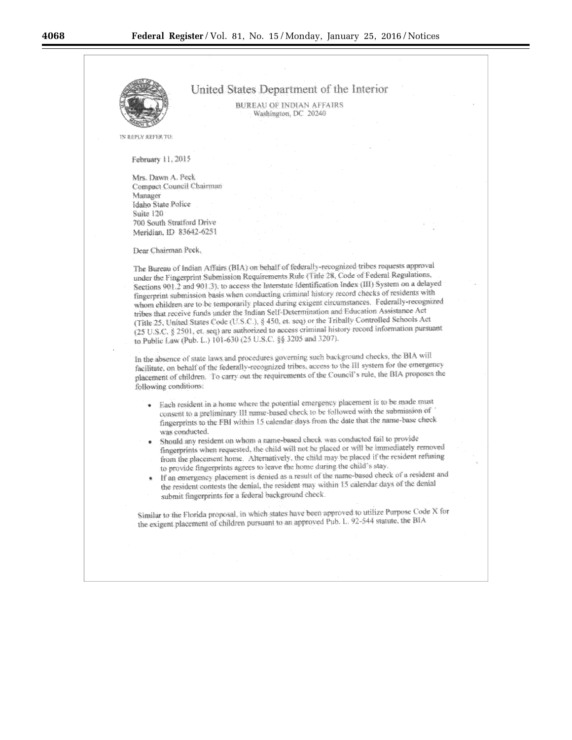